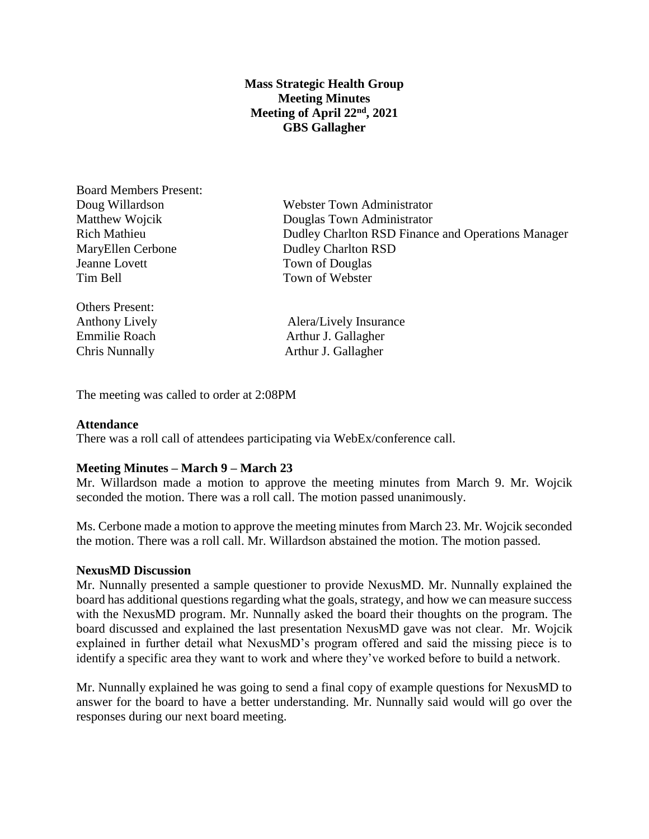## **Mass Strategic Health Group Meeting Minutes Meeting of April 22nd, 2021 GBS Gallagher**

Board Members Present: MaryEllen Cerbone Dudley Charlton RSD Jeanne Lovett Town of Douglas Tim Bell Town of Webster

Others Present:

Doug Willardson Webster Town Administrator Matthew Wojcik Douglas Town Administrator Rich Mathieu Dudley Charlton RSD Finance and Operations Manager

Anthony Lively **Alera** Alera Alera Alera Alera Alera Alera Alera Alera Alera Alera Alera Alera Alera Alera Alera Alera Alera Alera Alera Alera Alera Alera Alera Alera Alera Alera Alera Alera Alera Alera Alera Alera Alera A Emmilie Roach Arthur J. Gallagher Chris Nunnally Arthur J. Gallagher

The meeting was called to order at 2:08PM

## **Attendance**

There was a roll call of attendees participating via WebEx/conference call.

## **Meeting Minutes – March 9 – March 23**

Mr. Willardson made a motion to approve the meeting minutes from March 9. Mr. Wojcik seconded the motion. There was a roll call. The motion passed unanimously.

Ms. Cerbone made a motion to approve the meeting minutes from March 23. Mr. Wojcik seconded the motion. There was a roll call. Mr. Willardson abstained the motion. The motion passed.

#### **NexusMD Discussion**

Mr. Nunnally presented a sample questioner to provide NexusMD. Mr. Nunnally explained the board has additional questions regarding what the goals, strategy, and how we can measure success with the NexusMD program. Mr. Nunnally asked the board their thoughts on the program. The board discussed and explained the last presentation NexusMD gave was not clear. Mr. Wojcik explained in further detail what NexusMD's program offered and said the missing piece is to identify a specific area they want to work and where they've worked before to build a network.

Mr. Nunnally explained he was going to send a final copy of example questions for NexusMD to answer for the board to have a better understanding. Mr. Nunnally said would will go over the responses during our next board meeting.